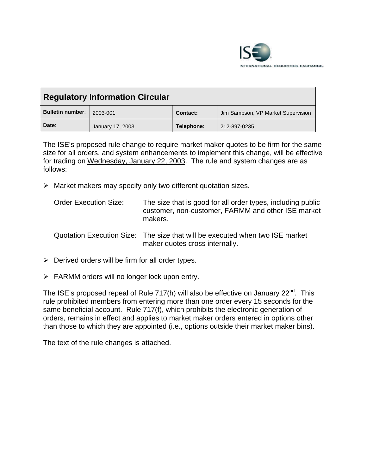

| <b>Regulatory Information Circular</b> |                  |                 |                                    |
|----------------------------------------|------------------|-----------------|------------------------------------|
| <b>Bulletin number:</b>                | 2003-001         | <b>Contact:</b> | Jim Sampson, VP Market Supervision |
| Date:                                  | January 17, 2003 | Telephone:      | 212-897-0235                       |

The ISE's proposed rule change to require market maker quotes to be firm for the same size for all orders, and system enhancements to implement this change, will be effective for trading on Wednesday, January 22, 2003. The rule and system changes are as follows:

- $\triangleright$  Market makers may specify only two different quotation sizes.
	- Order Execution Size: The size that is good for all order types, including public customer, non-customer, FARMM and other ISE market makers.
	- Quotation Execution Size: The size that will be executed when two ISE market maker quotes cross internally.
- $\triangleright$  Derived orders will be firm for all order types.
- $\triangleright$  FARMM orders will no longer lock upon entry.

The ISE's proposed repeal of Rule 717(h) will also be effective on January  $22^{nd}$ . This rule prohibited members from entering more than one order every 15 seconds for the same beneficial account. Rule 717(f), which prohibits the electronic generation of orders, remains in effect and applies to market maker orders entered in options other than those to which they are appointed (i.e., options outside their market maker bins).

The text of the rule changes is attached.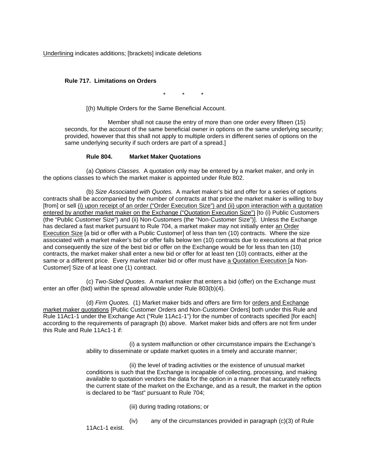Underlining indicates additions; [brackets] indicate deletions

## **Rule 717. Limitations on Orders**

\* \* \*

[(h) Multiple Orders for the Same Beneficial Account.

Member shall not cause the entry of more than one order every fifteen (15) seconds, for the account of the same beneficial owner in options on the same underlying security; provided, however that this shall not apply to multiple orders in different series of options on the same underlying security if such orders are part of a spread.]

## **Rule 804. Market Maker Quotations**

(a) *Options Classes.* A quotation only may be entered by a market maker, and only in the options classes to which the market maker is appointed under Rule 802.

(b) *Size Associated with Quotes.* A market maker's bid and offer for a series of options contracts shall be accompanied by the number of contracts at that price the market maker is willing to buy [from] or sell (i) upon receipt of an order ("Order Execution Size") and (ii) upon interaction with a quotation entered by another market maker on the Exchange ("Quotation Execution Size") [to (i) Public Customers (the "Public Customer Size") and (ii) Non-Customers (the "Non-Customer Size")]. Unless the Exchange has declared a fast market pursuant to Rule 704, a market maker may not initially enter an Order Execution Size [a bid or offer with a Public Customer] of less than ten (10) contracts. Where the size associated with a market maker's bid or offer falls below ten (10) contracts due to executions at that price and consequently the size of the best bid or offer on the Exchange would be for less than ten (10) contracts, the market maker shall enter a new bid or offer for at least ten (10) contracts, either at the same or a different price. Every market maker bid or offer must have a Quotation Execution [a Non-Customer] Size of at least one (1) contract.

(c) *Two-Sided Quotes.* A market maker that enters a bid (offer) on the Exchange must enter an offer (bid) within the spread allowable under Rule 803(b)(4).

(d) *Firm Quotes.* (1) Market maker bids and offers are firm for orders and Exchange market maker quotations [Public Customer Orders and Non-Customer Orders] both under this Rule and Rule 11Ac1-1 under the Exchange Act ("Rule 11Ac1-1") for the number of contracts specified [for each] according to the requirements of paragraph (b) above. Market maker bids and offers are not firm under this Rule and Rule 11Ac1-1 if:

> (i) a system malfunction or other circumstance impairs the Exchange's ability to disseminate or update market quotes in a timely and accurate manner;

(ii) the level of trading activities or the existence of unusual market conditions is such that the Exchange is incapable of collecting, processing, and making available to quotation vendors the data for the option in a manner that accurately reflects the current state of the market on the Exchange, and as a result, the market in the option is declared to be "fast" pursuant to Rule 704;

- (iii) during trading rotations; or
- (iv) any of the circumstances provided in paragraph (c)(3) of Rule

11Ac1-1 exist.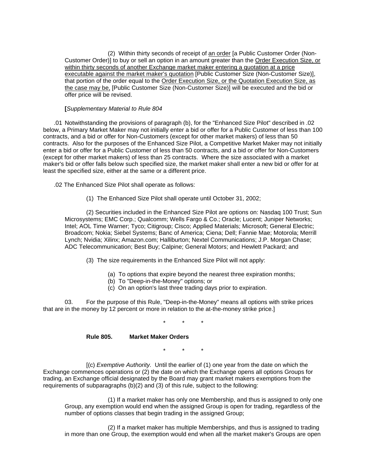(2) Within thirty seconds of receipt of an order [a Public Customer Order (Non-Customer Order)] to buy or sell an option in an amount greater than the Order Execution Size, or within thirty seconds of another Exchange market maker entering a quotation at a price executable against the market maker's quotation [Public Customer Size (Non-Customer Size)], that portion of the order equal to the Order Execution Size, or the Quotation Execution Size, as the case may be, [Public Customer Size (Non-Customer Size)] will be executed and the bid or offer price will be revised.

## **[***Supplementary Material to Rule 804*

.01 Notwithstanding the provisions of paragraph (b), for the "Enhanced Size Pilot" described in .02 below, a Primary Market Maker may not initially enter a bid or offer for a Public Customer of less than 100 contracts, and a bid or offer for Non-Customers (except for other market makers) of less than 50 contracts. Also for the purposes of the Enhanced Size Pilot, a Competitive Market Maker may not initially enter a bid or offer for a Public Customer of less than 50 contracts, and a bid or offer for Non-Customers (except for other market makers) of less than 25 contracts. Where the size associated with a market maker's bid or offer falls below such specified size, the market maker shall enter a new bid or offer for at least the specified size, either at the same or a different price.

.02 The Enhanced Size Pilot shall operate as follows:

(1) The Enhanced Size Pilot shall operate until October 31, 2002;

(2) Securities included in the Enhanced Size Pilot are options on: Nasdaq 100 Trust; Sun Microsystems; EMC Corp.; Qualcomm; Wells Fargo & Co.; Oracle; Lucent; Juniper Networks; Intel; AOL Time Warner; Tyco; Citigroup; Cisco; Applied Materials; Microsoft; General Electric; Broadcom; Nokia; Siebel Systems; Banc of America; Ciena; Dell; Fannie Mae; Motorola; Merrill Lynch; Nvidia; Xilinx; Amazon.com; Halliburton; Nextel Communications; J.P. Morgan Chase; ADC Telecommunication; Best Buy; Calpine; General Motors; and Hewlett Packard; and

- (3) The size requirements in the Enhanced Size Pilot will not apply:
	- (a) To options that expire beyond the nearest three expiration months;
	- (b) To "Deep-in-the-Money" options; or
	- (c) On an option's last three trading days prior to expiration.

03. For the purpose of this Rule, "Deep-in-the-Money" means all options with strike prices that are in the money by 12 percent or more in relation to the at-the-money strike price.]

\* \* \*

## **Rule 805. Market Maker Orders**

\* \* \*

[(c) *Exemptive Authority.* Until the earlier of (1) one year from the date on which the Exchange commences operations or (2) the date on which the Exchange opens all options Groups for trading, an Exchange official designated by the Board may grant market makers exemptions from the requirements of subparagraphs (b)(2) and (3) of this rule, subject to the following:

(1) If a market maker has only one Membership, and thus is assigned to only one Group, any exemption would end when the assigned Group is open for trading, regardless of the number of options classes that begin trading in the assigned Group;

(2) If a market maker has multiple Memberships, and thus is assigned to trading in more than one Group, the exemption would end when all the market maker's Groups are open